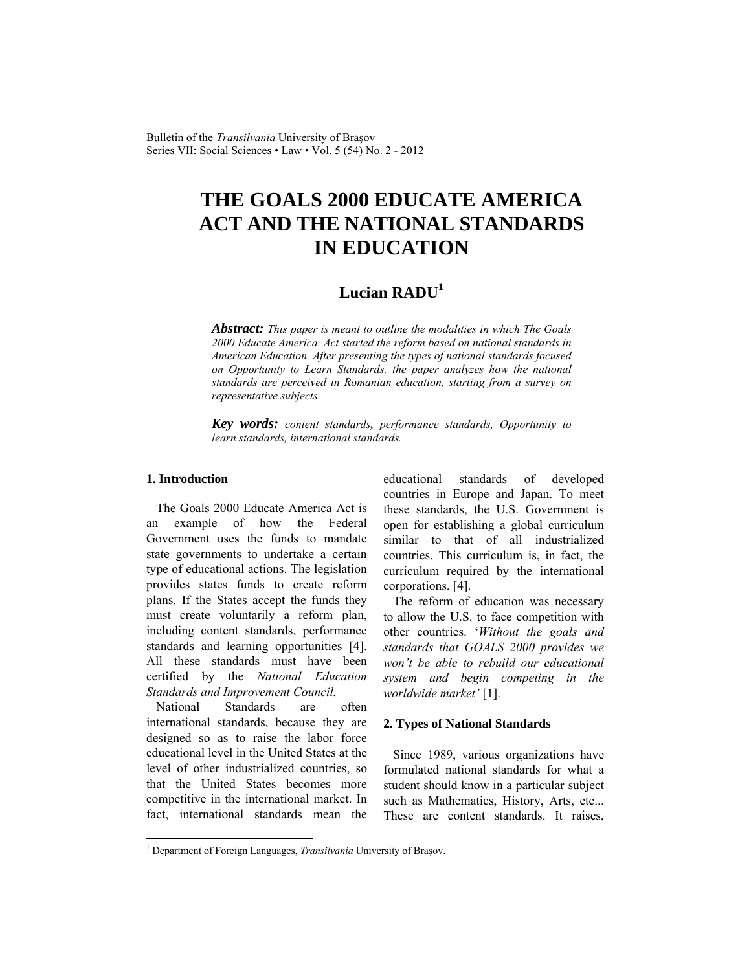Bulletin of the *Transilvania* University of Braşov Series VII: Social Sciences • Law • Vol. 5 (54) No. 2 - 2012

# **THE GOALS 2000 EDUCATE AMERICA ACT AND THE NATIONAL STANDARDS IN EDUCATION**

# **Lucian RADU<sup>1</sup>**

*Abstract: This paper is meant to outline the modalities in which The Goals 2000 Educate America. Act started the reform based on national standards in American Education. After presenting the types of national standards focused on Opportunity to Learn Standards, the paper analyzes how the national standards are perceived in Romanian education, starting from a survey on representative subjects.* 

*Key words: content standards, performance standards, Opportunity to learn standards, international standards.*

# **1. Introduction**

l

The Goals 2000 Educate America Act is an example of how the Federal Government uses the funds to mandate state governments to undertake a certain type of educational actions. The legislation provides states funds to create reform plans. If the States accept the funds they must create voluntarily a reform plan, including content standards, performance standards and learning opportunities [4]. All these standards must have been certified by the *National Education Standards and Improvement Council.* 

National Standards are often international standards, because they are designed so as to raise the labor force educational level in the United States at the level of other industrialized countries, so that the United States becomes more competitive in the international market. In fact, international standards mean the educational standards of developed countries in Europe and Japan. To meet these standards, the U.S. Government is open for establishing a global curriculum similar to that of all industrialized countries. This curriculum is, in fact, the curriculum required by the international corporations. [4].

The reform of education was necessary to allow the U.S. to face competition with other countries. '*Without the goals and standards that GOALS 2000 provides we won't be able to rebuild our educational system and begin competing in the worldwide market'* [1].

#### **2. Types of National Standards**

Since 1989, various organizations have formulated national standards for what a student should know in a particular subject such as Mathematics, History, Arts, etc... These are content standards. It raises,

<sup>&</sup>lt;sup>1</sup> Department of Foreign Languages, *Transilvania* University of Brașov.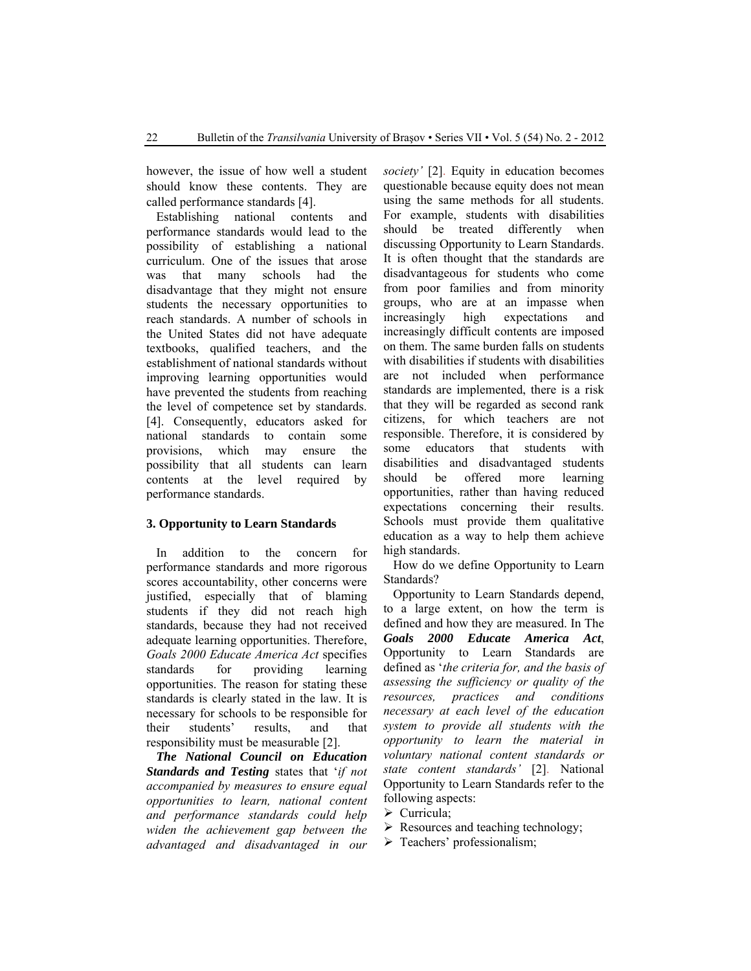however, the issue of how well a student should know these contents. They are called performance standards [4].

Establishing national contents and performance standards would lead to the possibility of establishing a national curriculum. One of the issues that arose was that many schools had the disadvantage that they might not ensure students the necessary opportunities to reach standards. A number of schools in the United States did not have adequate textbooks, qualified teachers, and the establishment of national standards without improving learning opportunities would have prevented the students from reaching the level of competence set by standards. [4]. Consequently, educators asked for national standards to contain some provisions, which may ensure the possibility that all students can learn contents at the level required by performance standards.

#### **3. Opportunity to Learn Standards**

In addition to the concern for performance standards and more rigorous scores accountability, other concerns were justified, especially that of blaming students if they did not reach high standards, because they had not received adequate learning opportunities. Therefore, *Goals 2000 Educate America Act* specifies standards for providing learning opportunities. The reason for stating these standards is clearly stated in the law. It is necessary for schools to be responsible for their students' results, and that responsibility must be measurable [2].

*The National Council on Education Standards and Testing* states that '*if not accompanied by measures to ensure equal opportunities to learn, national content and performance standards could help widen the achievement gap between the advantaged and disadvantaged in our*  *society'* [2]. Equity in education becomes questionable because equity does not mean using the same methods for all students. For example, students with disabilities should be treated differently when discussing Opportunity to Learn Standards. It is often thought that the standards are disadvantageous for students who come from poor families and from minority groups, who are at an impasse when increasingly high expectations and increasingly difficult contents are imposed on them. The same burden falls on students with disabilities if students with disabilities are not included when performance standards are implemented, there is a risk that they will be regarded as second rank citizens, for which teachers are not responsible. Therefore, it is considered by some educators that students with disabilities and disadvantaged students should be offered more learning opportunities, rather than having reduced expectations concerning their results. Schools must provide them qualitative education as a way to help them achieve high standards.

How do we define Opportunity to Learn Standards?

Opportunity to Learn Standards depend, to a large extent, on how the term is defined and how they are measured. In The *Goals 2000 Educate America Act*, Opportunity to Learn Standards are defined as '*the criteria for, and the basis of assessing the sufficiency or quality of the resources, practices and conditions necessary at each level of the education system to provide all students with the opportunity to learn the material in voluntary national content standards or state content standards'* [2]. National Opportunity to Learn Standards refer to the following aspects:

- $\triangleright$  Curricula;
- $\triangleright$  Resources and teaching technology;
- > Teachers' professionalism;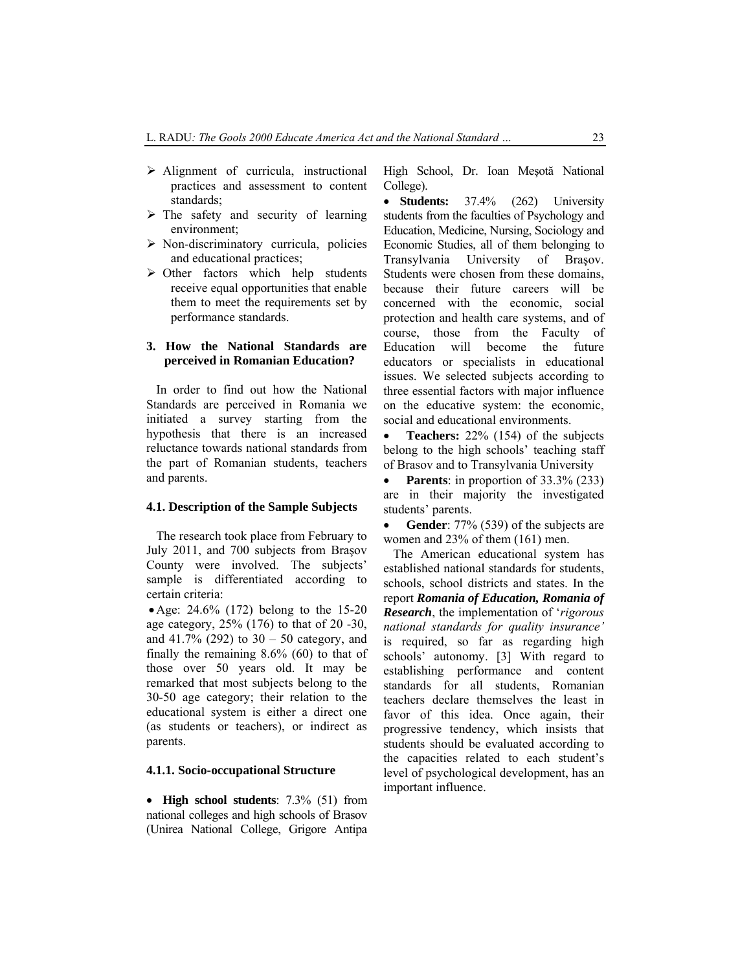- $\triangleright$  Alignment of curricula, instructional practices and assessment to content standards;
- $\triangleright$  The safety and security of learning environment;
- $\triangleright$  Non-discriminatory curricula, policies and educational practices;
- $\triangleright$  Other factors which help students receive equal opportunities that enable them to meet the requirements set by performance standards.

# **3. How the National Standards are perceived in Romanian Education?**

In order to find out how the National Standards are perceived in Romania we initiated a survey starting from the hypothesis that there is an increased reluctance towards national standards from the part of Romanian students, teachers and parents.

#### **4.1. Description of the Sample Subjects**

The research took place from February to July 2011, and 700 subjects from Braşov County were involved. The subjects' sample is differentiated according to certain criteria:

• Age: 24.6% (172) belong to the 15-20 age category, 25% (176) to that of 20 -30, and 41.7% (292) to  $30 - 50$  category, and finally the remaining 8.6% (60) to that of those over 50 years old. It may be remarked that most subjects belong to the 30-50 age category; their relation to the educational system is either a direct one (as students or teachers), or indirect as parents.

#### **4.1.1. Socio-occupational Structure**

• **High school students**: 7.3% (51) from national colleges and high schools of Brasov (Unirea National College, Grigore Antipa High School, Dr. Ioan Meşotă National College).

• **Students:** 37.4% (262) University students from the faculties of Psychology and Education, Medicine, Nursing, Sociology and Economic Studies, all of them belonging to Transylvania University of Braşov. Students were chosen from these domains, because their future careers will be concerned with the economic, social protection and health care systems, and of course, those from the Faculty of Education will become the future educators or specialists in educational issues. We selected subjects according to three essential factors with major influence on the educative system: the economic, social and educational environments.

• **Teachers:** 22% (154) of the subjects belong to the high schools' teaching staff of Brasov and to Transylvania University

• **Parents**: in proportion of 33.3% (233) are in their majority the investigated students' parents.

**Gender**: 77% (539) of the subjects are women and 23% of them (161) men.

The American educational system has established national standards for students, schools, school districts and states. In the report *Romania of Education, Romania of Research*, the implementation of '*rigorous national standards for quality insurance'* is required, so far as regarding high schools' autonomy. [3] With regard to establishing performance and content standards for all students, Romanian teachers declare themselves the least in favor of this idea. Once again, their progressive tendency, which insists that students should be evaluated according to the capacities related to each student's level of psychological development, has an important influence.